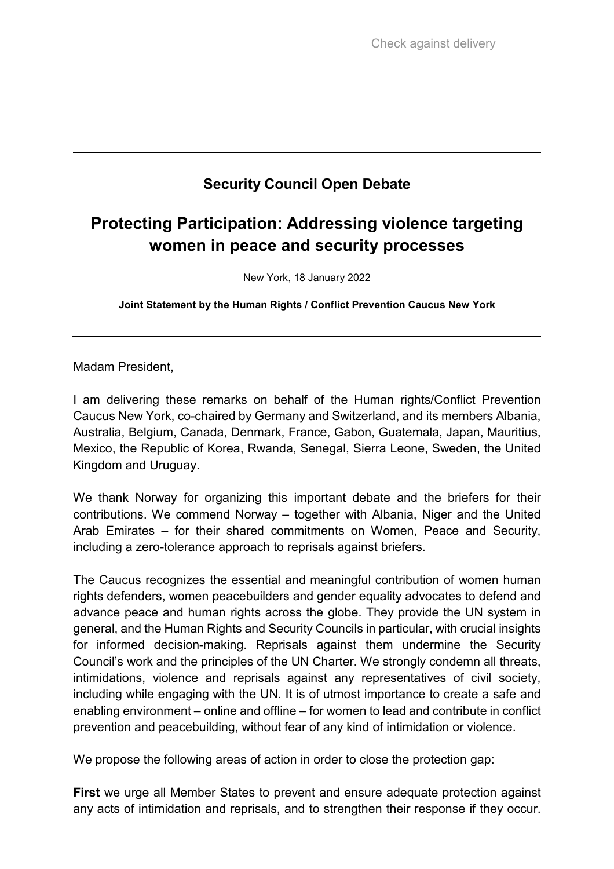## **Security Council Open Debate**

## **Protecting Participation: Addressing violence targeting women in peace and security processes**

New York, 18 January 2022

**Joint Statement by the Human Rights / Conflict Prevention Caucus New York**

Madam President,

I am delivering these remarks on behalf of the Human rights/Conflict Prevention Caucus New York, co-chaired by Germany and Switzerland, and its members Albania, Australia, Belgium, Canada, Denmark, France, Gabon, Guatemala, Japan, Mauritius, Mexico, the Republic of Korea, Rwanda, Senegal, Sierra Leone, Sweden, the United Kingdom and Uruguay.

We thank Norway for organizing this important debate and the briefers for their contributions. We commend Norway – together with Albania, Niger and the United Arab Emirates – for their shared commitments on Women, Peace and Security, including a zero-tolerance approach to reprisals against briefers.

The Caucus recognizes the essential and meaningful contribution of women human rights defenders, women peacebuilders and gender equality advocates to defend and advance peace and human rights across the globe. They provide the UN system in general, and the Human Rights and Security Councils in particular, with crucial insights for informed decision-making. Reprisals against them undermine the Security Council's work and the principles of the UN Charter. We strongly condemn all threats, intimidations, violence and reprisals against any representatives of civil society, including while engaging with the UN. It is of utmost importance to create a safe and enabling environment – online and offline – for women to lead and contribute in conflict prevention and peacebuilding, without fear of any kind of intimidation or violence.

We propose the following areas of action in order to close the protection gap:

**First** we urge all Member States to prevent and ensure adequate protection against any acts of intimidation and reprisals, and to strengthen their response if they occur.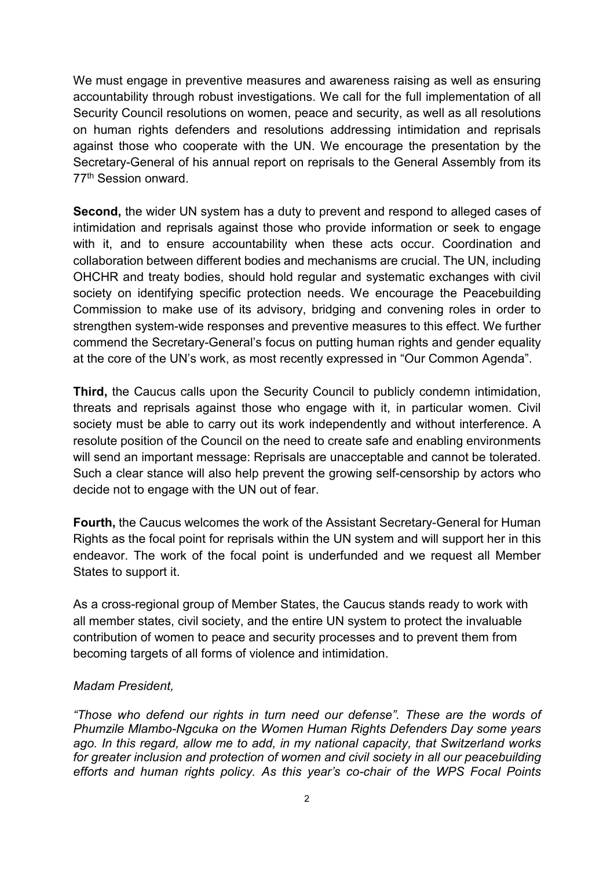We must engage in preventive measures and awareness raising as well as ensuring accountability through robust investigations. We call for the full implementation of all Security Council resolutions on women, peace and security, as well as all resolutions on human rights defenders and resolutions addressing intimidation and reprisals against those who cooperate with the UN. We encourage the presentation by the Secretary-General of his annual report on reprisals to the General Assembly from its 77th Session onward.

**Second,** the wider UN system has a duty to prevent and respond to alleged cases of intimidation and reprisals against those who provide information or seek to engage with it, and to ensure accountability when these acts occur. Coordination and collaboration between different bodies and mechanisms are crucial. The UN, including OHCHR and treaty bodies, should hold regular and systematic exchanges with civil society on identifying specific protection needs. We encourage the Peacebuilding Commission to make use of its advisory, bridging and convening roles in order to strengthen system-wide responses and preventive measures to this effect. We further commend the Secretary-General's focus on putting human rights and gender equality at the core of the UN's work, as most recently expressed in "Our Common Agenda".

**Third,** the Caucus calls upon the Security Council to publicly condemn intimidation, threats and reprisals against those who engage with it, in particular women. Civil society must be able to carry out its work independently and without interference. A resolute position of the Council on the need to create safe and enabling environments will send an important message: Reprisals are unacceptable and cannot be tolerated. Such a clear stance will also help prevent the growing self-censorship by actors who decide not to engage with the UN out of fear.

**Fourth,** the Caucus welcomes the work of the Assistant Secretary-General for Human Rights as the focal point for reprisals within the UN system and will support her in this endeavor. The work of the focal point is underfunded and we request all Member States to support it.

As a cross-regional group of Member States, the Caucus stands ready to work with all member states, civil society, and the entire UN system to protect the invaluable contribution of women to peace and security processes and to prevent them from becoming targets of all forms of violence and intimidation.

## *Madam President,*

*"Those who defend our rights in turn need our defense". These are the words of Phumzile Mlambo-Ngcuka on the Women Human Rights Defenders Day some years ago. In this regard, allow me to add, in my national capacity, that Switzerland works for greater inclusion and protection of women and civil society in all our peacebuilding efforts and human rights policy. As this year's co-chair of the WPS Focal Points*